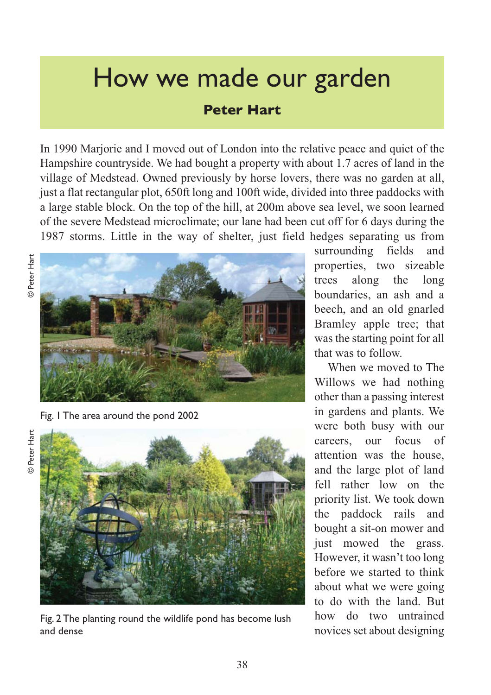## How we made our garden

## **Peter Hart**

In 1990 Marjorie and I moved out of London into the relative peace and quiet of the Hampshire countryside. We had bought a property with about 1.7 acres of land in the village of Medstead. Owned previously by horse lovers, there was no garden at all, just a flat rectangular plot, 650ft long and 100ft wide, divided into three paddocks with a large stable block. On the top of the hill, at 200m above sea level, we soon learned of the severe Medstead microclimate; our lane had been cut off for 6 days during the 1987 storms. Little in the way of shelter, just field hedges separating us from



Fig. 1 The area around the pond 2002





Fig. 2 The planting round the wildlife pond has become lush and dense

surrounding fields and properties, two sizeable trees along the long boundaries, an ash and a beech, and an old gnarled Bramley apple tree; that was the starting point for all that was to follow.

When we moved to The Willows we had nothing other than a passing interest in gardens and plants. We were both busy with our careers, our focus of attention was the house, and the large plot of land fell rather low on the priority list. We took down the paddock rails and bought a sit-on mower and just mowed the grass. However, it wasn't too long before we started to think about what we were going to do with the land. But how do two untrained novices set about designing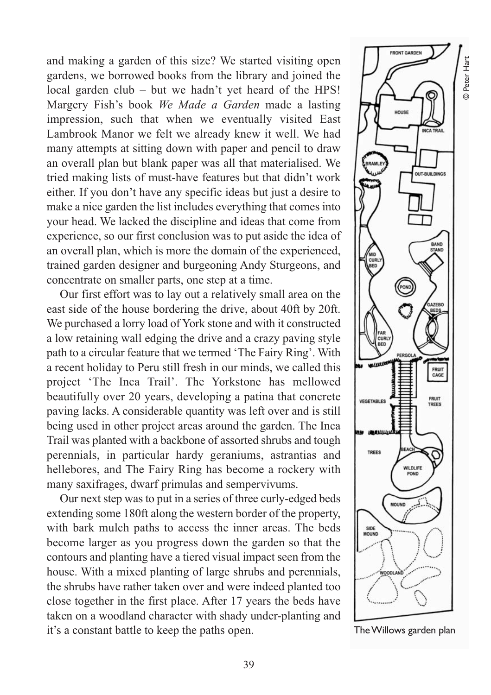and making a garden of this size? We started visiting open gardens, we borrowed books from the library and joined the local garden club – but we hadn't yet heard of the HPS! Margery Fish's book *We Made a Garden* made a lasting impression, such that when we eventually visited East Lambrook Manor we felt we already knew it well. We had many attempts at sitting down with paper and pencil to draw an overall plan but blank paper was all that materialised. We tried making lists of must-have features but that didn't work either. If you don't have any specific ideas but just a desire to make a nice garden the list includes everything that comes into your head. We lacked the discipline and ideas that come from experience, so our first conclusion was to put aside the idea of an overall plan, which is more the domain of the experienced, trained garden designer and burgeoning Andy Sturgeons, and concentrate on smaller parts, one step at a time.

Our first effort was to lay out a relatively small area on the east side of the house bordering the drive, about 40ft by 20ft. We purchased a lorry load of York stone and with it constructed a low retaining wall edging the drive and a crazy paving style path to a circular feature that we termed 'The Fairy Ring'. With a recent holiday to Peru still fresh in our minds, we called this project 'The Inca Trail'. The Yorkstone has mellowed beautifully over 20 years, developing a patina that concrete paving lacks. A considerable quantity was left over and is still being used in other project areas around the garden. The Inca Trail was planted with a backbone of assorted shrubs and tough perennials, in particular hardy geraniums, astrantias and hellebores, and The Fairy Ring has become a rockery with many saxifrages, dwarf primulas and sempervivums.

Our next step was to put in a series of three curly-edged beds extending some 180ft along the western border of the property, with bark mulch paths to access the inner areas. The beds become larger as you progress down the garden so that the contours and planting have a tiered visual impact seen from the house. With a mixed planting of large shrubs and perennials, the shrubs have rather taken over and were indeed planted too close together in the first place. After 17 years the beds have taken on a woodland character with shady under-planting and it's a constant battle to keep the paths open. The Willows garden plan

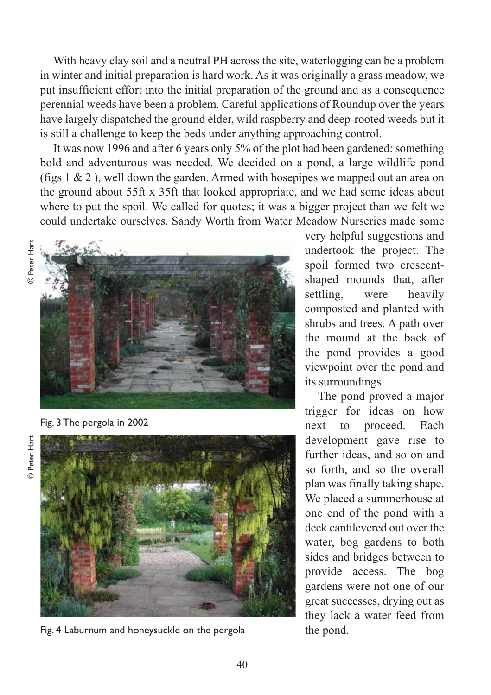With heavy clay soil and a neutral PH across the site, waterlogging can be a problem in winter and initial preparation is hard work. As it was originally a grass meadow, we put insufficient effort into the initial preparation of the ground and as a consequence perennial weeds have been a problem. Careful applications of Roundup over the years have largely dispatched the ground elder, wild raspberry and deep-rooted weeds but it is still a challenge to keep the beds under anything approaching control.

It was now 1996 and after 6 years only 5% of the plot had been gardened: something bold and adventurous was needed. We decided on a pond, a large wildlife pond (figs  $1 \& 2$ ), well down the garden. Armed with hosepipes we mapped out an area on the ground about 55ft x 35ft that looked appropriate, and we had some ideas about where to put the spoil. We called for quotes; it was a bigger project than we felt we could undertake ourselves. Sandy Worth from Water Meadow Nurseries made some



Fig. 3 The pergola in 2002





Fig. 4 Laburnum and honeysuckle on the pergola

very helpful suggestions and undertook the project. The spoil formed two crescentshaped mounds that, after settling, were heavily composted and planted with shrubs and trees. A path over the mound at the back of the pond provides a good viewpoint over the pond and its surroundings

The pond proved a major trigger for ideas on how next to proceed. Each development gave rise to further ideas, and so on and so forth, and so the overall plan was finally taking shape. We placed a summerhouse at one end of the pond with a deck cantilevered out over the water, bog gardens to both sides and bridges between to provide access. The bog gardens were not one of our great successes, drying out as they lack a water feed from the pond.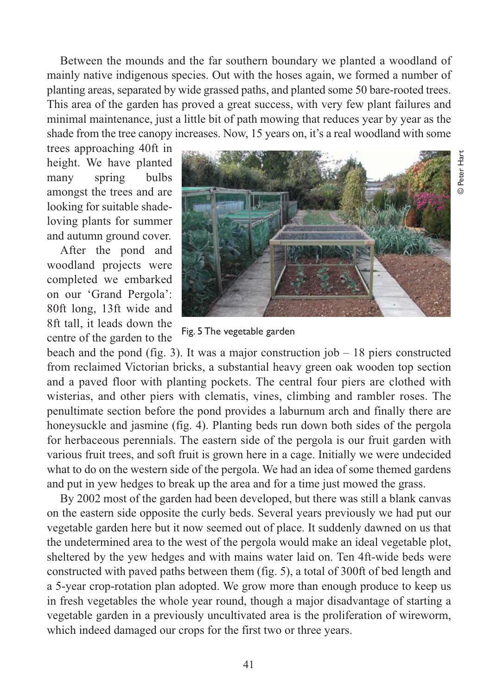Between the mounds and the far southern boundary we planted a woodland of mainly native indigenous species. Out with the hoses again, we formed a number of planting areas, separated by wide grassed paths, and planted some 50 bare-rooted trees. This area of the garden has proved a great success, with very few plant failures and minimal maintenance, just a little bit of path mowing that reduces year by year as the shade from the tree canopy increases. Now, 15 years on, it's a real woodland with some

trees approaching 40ft in height. We have planted many spring bulbs amongst the trees and are looking for suitable shadeloving plants for summer and autumn ground cover.

After the pond and woodland projects were completed we embarked on our 'Grand Pergola': 80ft long, 13ft wide and 8ft tall, it leads down the centre of the garden to the



Fig. 5 The vegetable garden

beach and the pond (fig. 3). It was a major construction job  $-18$  piers constructed from reclaimed Victorian bricks, a substantial heavy green oak wooden top section and a paved floor with planting pockets. The central four piers are clothed with wisterias, and other piers with clematis, vines, climbing and rambler roses. The penultimate section before the pond provides a laburnum arch and finally there are honeysuckle and jasmine (fig. 4). Planting beds run down both sides of the pergola for herbaceous perennials. The eastern side of the pergola is our fruit garden with various fruit trees, and soft fruit is grown here in a cage. Initially we were undecided what to do on the western side of the pergola. We had an idea of some themed gardens and put in yew hedges to break up the area and for a time just mowed the grass.

By 2002 most of the garden had been developed, but there was still a blank canvas on the eastern side opposite the curly beds. Several years previously we had put our vegetable garden here but it now seemed out of place. It suddenly dawned on us that the undetermined area to the west of the pergola would make an ideal vegetable plot, sheltered by the yew hedges and with mains water laid on. Ten 4ft-wide beds were constructed with paved paths between them (fig. 5), a total of 300ft of bed length and a 5-year crop-rotation plan adopted. We grow more than enough produce to keep us in fresh vegetables the whole year round, though a major disadvantage of starting a vegetable garden in a previously uncultivated area is the proliferation of wireworm, which indeed damaged our crops for the first two or three years.

41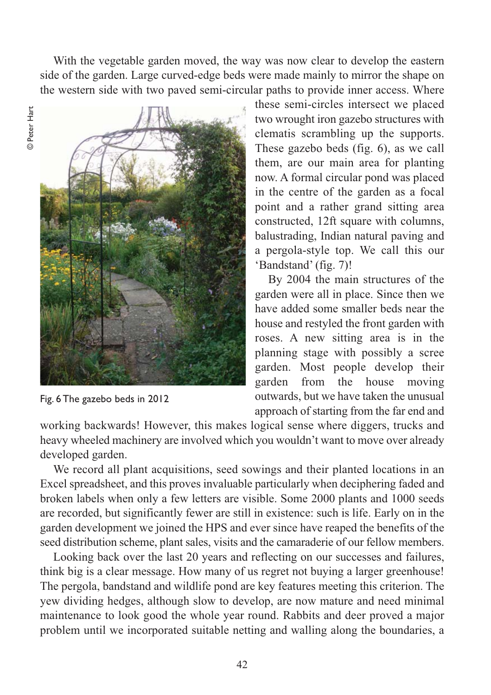With the vegetable garden moved, the way was now clear to develop the eastern side of the garden. Large curved-edge beds were made mainly to mirror the shape on the western side with two paved semi-circular paths to provide inner access. Where



Fig. 6 The gazebo beds in 2012

these semi-circles intersect we placed two wrought iron gazebo structures with clematis scrambling up the supports. These gazebo beds (fig. 6), as we call them, are our main area for planting now. A formal circular pond was placed in the centre of the garden as a focal point and a rather grand sitting area constructed, 12ft square with columns, balustrading, Indian natural paving and a pergola-style top. We call this our 'Bandstand' (fig. 7)!

By 2004 the main structures of the garden were all in place. Since then we have added some smaller beds near the house and restyled the front garden with roses. A new sitting area is in the planning stage with possibly a scree garden. Most people develop their garden from the house moving outwards, but we have taken the unusual approach of starting from the far end and

working backwards! However, this makes logical sense where diggers, trucks and heavy wheeled machinery are involved which you wouldn't want to move over already developed garden.

We record all plant acquisitions, seed sowings and their planted locations in an Excel spreadsheet, and this proves invaluable particularly when deciphering faded and broken labels when only a few letters are visible. Some 2000 plants and 1000 seeds are recorded, but significantly fewer are still in existence: such is life. Early on in the garden development we joined the HPS and ever since have reaped the benefits of the seed distribution scheme, plant sales, visits and the camaraderie of our fellow members.

Looking back over the last 20 years and reflecting on our successes and failures, think big is a clear message. How many of us regret not buying a larger greenhouse! The pergola, bandstand and wildlife pond are key features meeting this criterion. The yew dividing hedges, although slow to develop, are now mature and need minimal maintenance to look good the whole year round. Rabbits and deer proved a major problem until we incorporated suitable netting and walling along the boundaries, a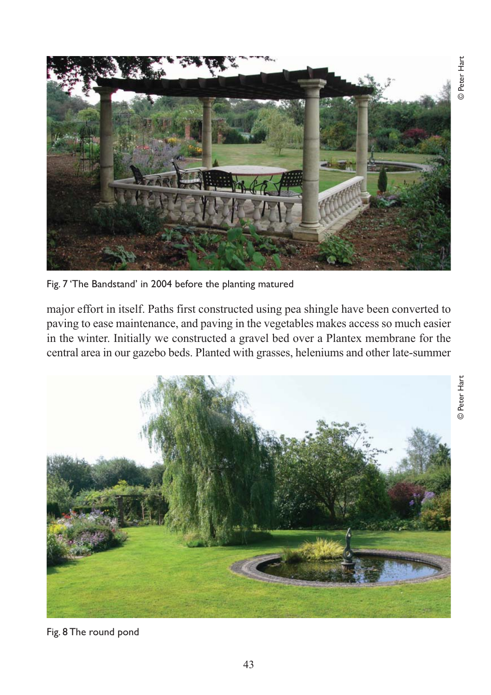

Fig. 7 'The Bandstand' in 2004 before the planting matured

major effort in itself. Paths first constructed using pea shingle have been converted to paving to ease maintenance, and paving in the vegetables makes access so much easier in the winter. Initially we constructed a gravel bed over a Plantex membrane for the central area in our gazebo beds. Planted with grasses, heleniums and other late-summer



Fig. 8 The round pond